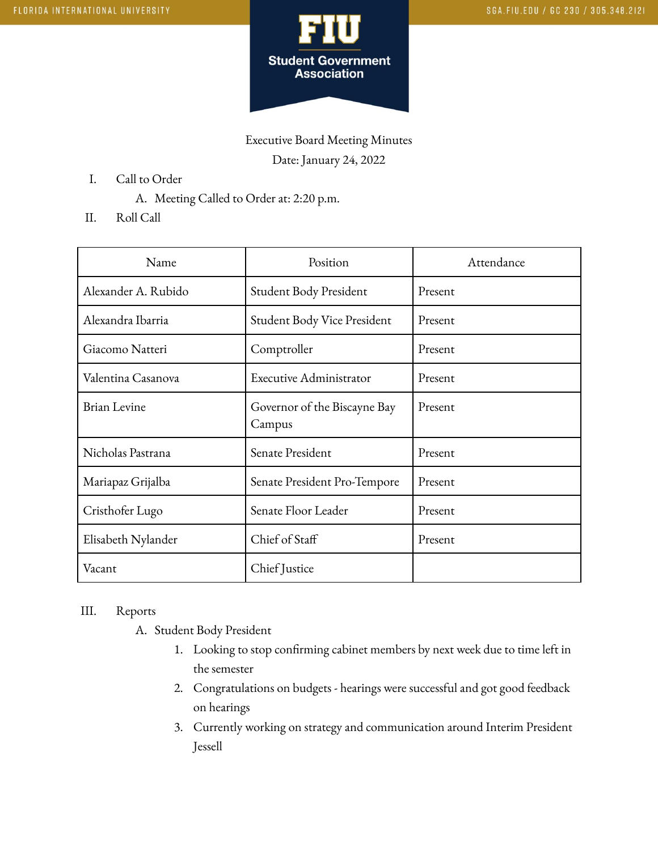

Executive Board Meeting Minutes Date: January 24, 2022

- I. Call to Order
	- A. Meeting Called to Order at: 2:20 p.m.
- II. Roll Call

| Name                | Position                               | Attendance |
|---------------------|----------------------------------------|------------|
| Alexander A. Rubido | Student Body President                 | Present    |
| Alexandra Ibarria   | Student Body Vice President            | Present    |
| Giacomo Natteri     | Comptroller                            | Present    |
| Valentina Casanova  | <b>Executive Administrator</b>         | Present    |
| <b>Brian Levine</b> | Governor of the Biscayne Bay<br>Campus | Present    |
| Nicholas Pastrana   | Senate President                       | Present    |
| Mariapaz Grijalba   | Senate President Pro-Tempore           | Present    |
| Cristhofer Lugo     | Senate Floor Leader                    | Present    |
| Elisabeth Nylander  | Chief of Staff                         | Present    |
| Vacant              | Chief Justice                          |            |

## III. Reports

A. Student Body President

- 1. Looking to stop confirming cabinet members by next week due to time left in the semester
- 2. Congratulations on budgets hearings were successful and got good feedback on hearings
- 3. Currently working on strategy and communication around Interim President Jessell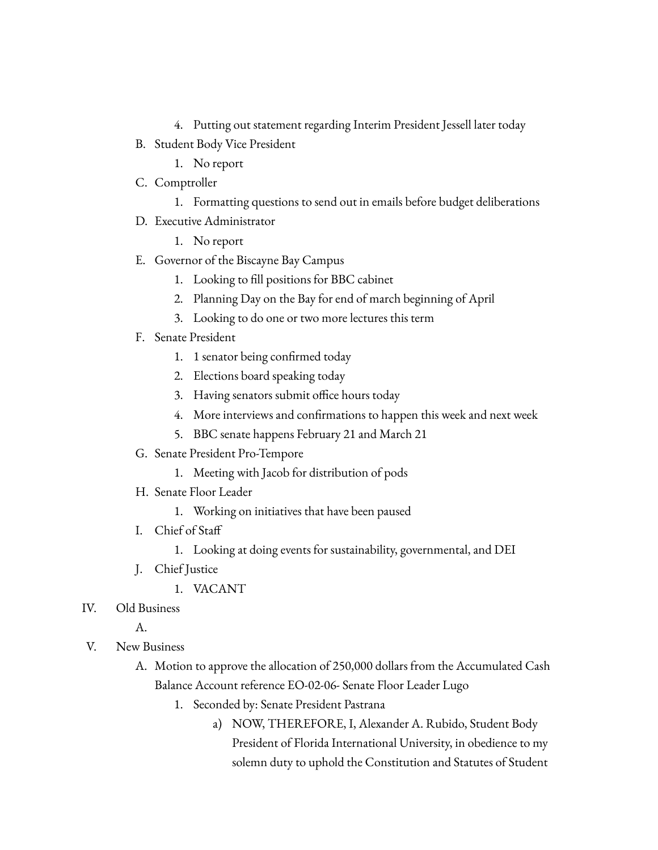- 4. Putting out statement regarding Interim President Jessell later today
- B. Student Body Vice President
	- 1. No report
- C. Comptroller
	- 1. Formatting questions to send out in emails before budget deliberations
- D. Executive Administrator
	- 1. No report
- E. Governor of the Biscayne Bay Campus
	- 1. Looking to fill positions for BBC cabinet
	- 2. Planning Day on the Bay for end of march beginning of April
	- 3. Looking to do one or two more lectures this term
- F. Senate President
	- 1. 1 senator being confirmed today
	- 2. Elections board speaking today
	- 3. Having senators submit office hours today
	- 4. More interviews and confirmations to happen this week and next week
	- 5. BBC senate happens February 21 and March 21
- G. Senate President Pro-Tempore
	- 1. Meeting with Jacob for distribution of pods
- H. Senate Floor Leader
	- 1. Working on initiatives that have been paused
- I. Chief of Staff
	- 1. Looking at doing events for sustainability, governmental, and DEI
- J. Chief Justice
	- 1. VACANT
- IV. Old Business

A.

- V. New Business
	- A. Motion to approve the allocation of 250,000 dollars from the Accumulated Cash Balance Account reference EO-02-06- Senate Floor Leader Lugo
		- 1. Seconded by: Senate President Pastrana
			- a) NOW, THEREFORE, I, Alexander A. Rubido, Student Body President of Florida International University, in obedience to my solemn duty to uphold the Constitution and Statutes of Student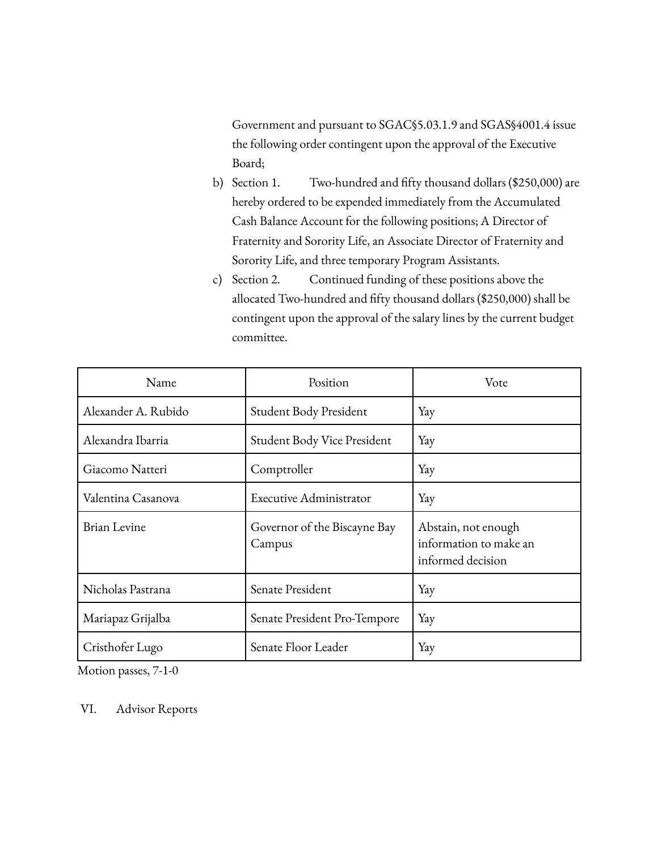Government and pursuant to SGAC§5.03.1.9 and SGAS§4001.4 issue the following order contingent upon the approval of the Executive Board;

- b) Section 1. Two-hundred and fifty thousand dollars (\$250,000) are hereby ordered to be expended immediately from the Accumulated Cash Balance Account for the following positions; A Director of Fraternity and Sorority Life, an Associate Director of Fraternity and Sorority Life, and three temporary Program Assistants.
- c) Section 2. Continued funding of these positions above the allocated Two-hundred and fifty thousand dollars (\$250,000) shall be contingent upon the approval of the salary lines by the current budget committee.

| Name                | Position                               | Vote                                                               |
|---------------------|----------------------------------------|--------------------------------------------------------------------|
| Alexander A. Rubido | Student Body President                 | Yay                                                                |
| Alexandra Ibarria   | <b>Student Body Vice President</b>     | Yay                                                                |
| Giacomo Natteri     | Comptroller                            | Yay                                                                |
| Valentina Casanova  | <b>Executive Administrator</b>         | Yay                                                                |
| <b>Brian Levine</b> | Governor of the Biscayne Bay<br>Campus | Abstain, not enough<br>information to make an<br>informed decision |
| Nicholas Pastrana   | Senate President                       | Yay                                                                |
| Mariapaz Grijalba   | Senate President Pro-Tempore           | Yay                                                                |
| Cristhofer Lugo     | Senate Floor Leader                    | Yay                                                                |

Motion passes, 7-1-0

VI. Advisor Reports